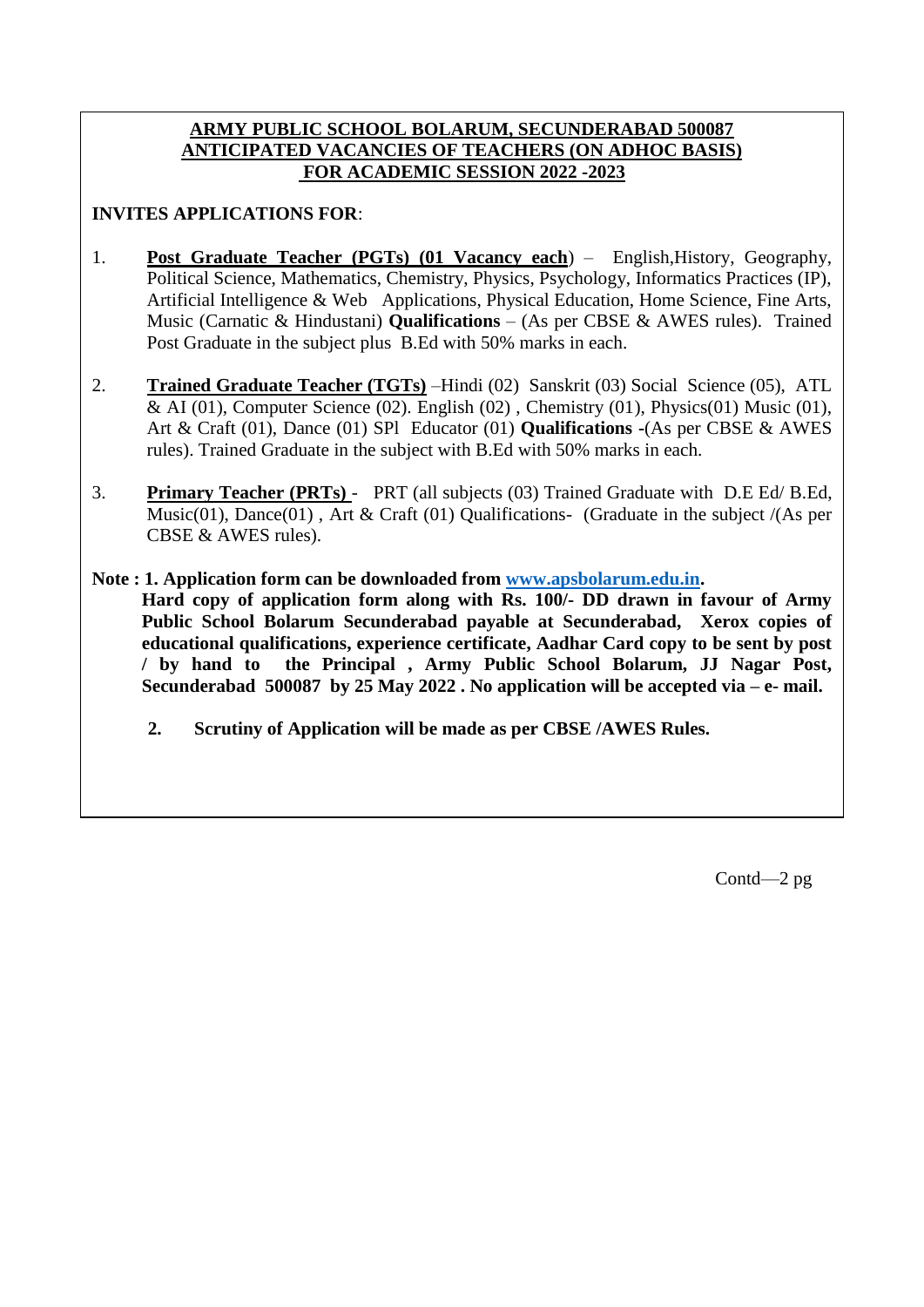## **ARMY PUBLIC SCHOOL BOLARUM, SECUNDERABAD 500087 ANTICIPATED VACANCIES OF TEACHERS (ON ADHOC BASIS) FOR ACADEMIC SESSION 2022 -2023**

## **INVITES APPLICATIONS FOR**:

- 1. **Post Graduate Teacher (PGTs) (01 Vacancy each**) English,History, Geography, Political Science, Mathematics, Chemistry, Physics, Psychology, Informatics Practices (IP), Artificial Intelligence & Web Applications, Physical Education, Home Science, Fine Arts, Music (Carnatic & Hindustani) **Qualifications** – (As per CBSE & AWES rules). Trained Post Graduate in the subject plus B.Ed with 50% marks in each.
- 2. **Trained Graduate Teacher (TGTs)** –Hindi (02) Sanskrit (03) Social Science (05), ATL & AI (01), Computer Science (02). English (02), Chemistry (01), Physics(01) Music (01), Art & Craft (01), Dance (01) SPl Educator (01) **Qualifications -**(As per CBSE & AWES rules). Trained Graduate in the subject with B.Ed with 50% marks in each.
- 3. **Primary Teacher (PRTs)**  PRT (all subjects (03) Trained Graduate with D.E Ed/ B.Ed, Music(01), Dance(01), Art & Craft (01) Qualifications- (Graduate in the subject /(As per CBSE & AWES rules).
- **Note : 1. Application form can be downloaded from [www.apsbolarum.edu.in.](http://www.apsbolarum.edu.in/) Hard copy of application form along with Rs. 100/- DD drawn in favour of Army Public School Bolarum Secunderabad payable at Secunderabad, Xerox copies of educational qualifications, experience certificate, Aadhar Card copy to be sent by post / by hand to the Principal , Army Public School Bolarum, JJ Nagar Post, Secunderabad 500087 by 25 May 2022 . No application will be accepted via – e- mail.** 
	- **2. Scrutiny of Application will be made as per CBSE /AWES Rules.**

Contd—2 pg